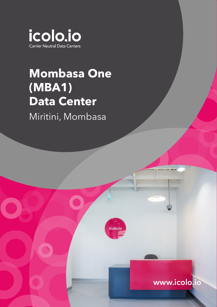

## **Mombasa One (MBA1) Data Center**

Miritini, Mombasa